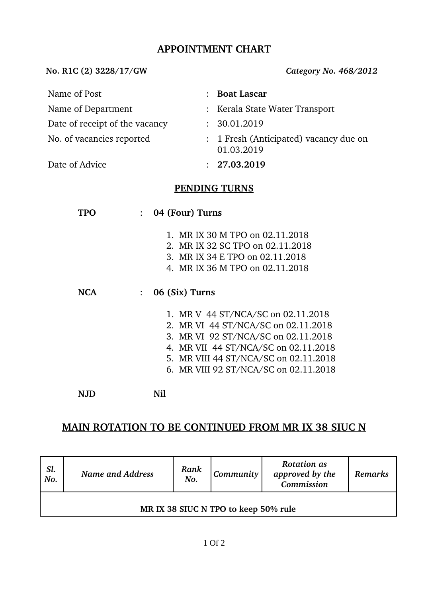## **APPOINTMENT CHART**

**No. R1C (2) 3228/17/GW** *Category No. 468/2012*

| Name of Post                   |                 | <b>Boat Lascar</b>                                                                                                                                                                                                                         |  |  |
|--------------------------------|-----------------|--------------------------------------------------------------------------------------------------------------------------------------------------------------------------------------------------------------------------------------------|--|--|
| Name of Department             |                 | : Kerala State Water Transport                                                                                                                                                                                                             |  |  |
| Date of receipt of the vacancy |                 | : 30.01.2019                                                                                                                                                                                                                               |  |  |
| No. of vacancies reported      |                 | : 1 Fresh (Anticipated) vacancy due on<br>01.03.2019                                                                                                                                                                                       |  |  |
| Date of Advice                 |                 | : 27.03.2019                                                                                                                                                                                                                               |  |  |
| <b>PENDING TURNS</b>           |                 |                                                                                                                                                                                                                                            |  |  |
| <b>TPO</b><br>$\ddot{\cdot}$   | 04 (Four) Turns |                                                                                                                                                                                                                                            |  |  |
|                                |                 | 1. MR IX 30 M TPO on 02.11.2018<br>2. MR IX 32 SC TPO on 02.11.2018<br>3. MR IX 34 E TPO on 02.11.2018<br>4. MR IX 36 M TPO on 02.11.2018                                                                                                  |  |  |
| <b>NCA</b><br>$\ddot{\cdot}$   | 06 (Six) Turns  |                                                                                                                                                                                                                                            |  |  |
|                                |                 | 1. MR V 44 ST/NCA/SC on 02.11.2018<br>2. MR VI 44 ST/NCA/SC on 02.11.2018<br>3. MR VI 92 ST/NCA/SC on 02.11.2018<br>4. MR VII 44 ST/NCA/SC on 02.11.2018<br>5. MR VIII 44 ST/NCA/SC on 02.11.2018<br>6. MR VIII 92 ST/NCA/SC on 02.11.2018 |  |  |
| <b>NJD</b>                     | Nil             |                                                                                                                                                                                                                                            |  |  |

# **MAIN ROTATION TO BE CONTINUED FROM MR IX 38 SIUC N**

| Sl.<br>No.                           | Name and Address | Rank<br>No. | <b>Community</b> | <b>Rotation as</b><br>approved by the<br>Commission | Remarks |  |
|--------------------------------------|------------------|-------------|------------------|-----------------------------------------------------|---------|--|
| MR IX 38 SIUC N TPO to keep 50% rule |                  |             |                  |                                                     |         |  |